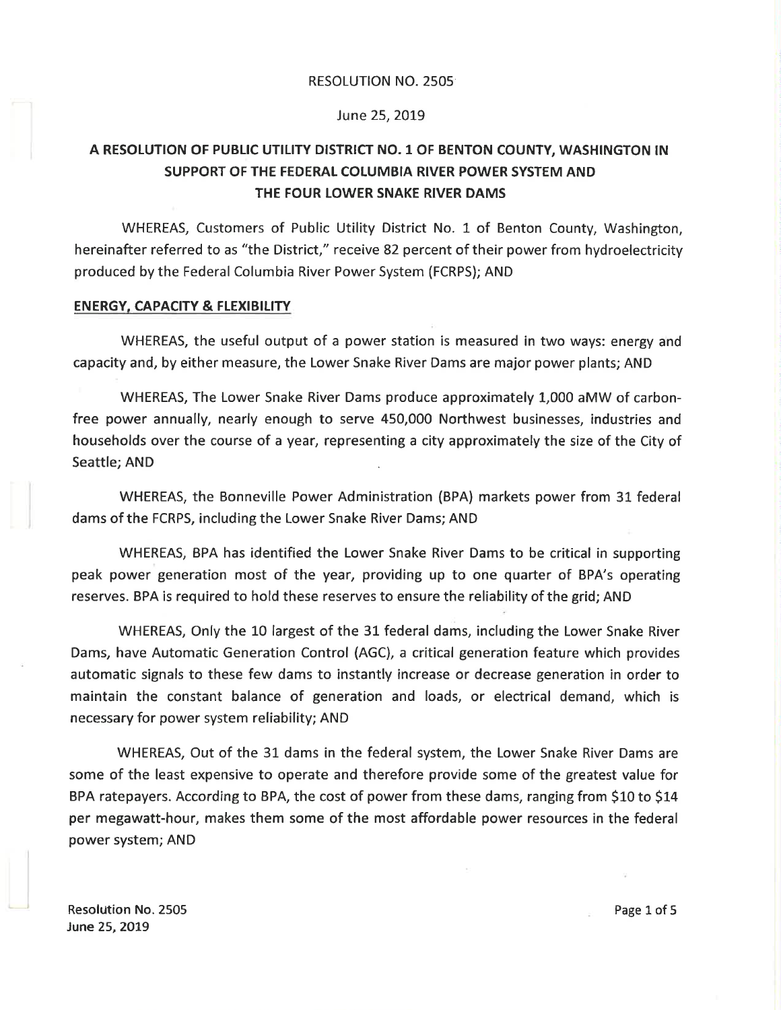#### RESOLUTION NO.2505

# June 25, 2019

# A RESOLUTION OF PUBLIC UTILITY DISTRICT NO. 1 OF BENTON COUNTY, WASHINGTON IN SUPPORT OF THE FEDERAL COLUMBIA RIVER POWER SYSTEM AND THE FOUR LOWER SNAKE RIVER DAMS

WHEREAS, Customers of Public Utility District No. 1 of Benton County, Washington, hereinafter referred to as "the District," receive 82 percent of their power from hydroelectricity produced by the Federal Columbia River Power System (FCRPS); AND

#### ENERGY, CAPACITY & FLEXIBILITY

WHEREAS, the useful output of a power station is measured in two ways: energy and capacity and, by either measure, the Lower Snake River Dams are major power plants; AND

WHEREAS, The Lower Snake River Dams produce approximately L,000 aMW of carbonfree power annually, nearly enough to serve 450,000 Northwest businesses, industries and households over the course of a year, representing a city approximately the size of the City of Seattle; AND

WHEREAS, the Bonneville Power Administration (BPA) markets power from 31. federal dams of the FCRPS, including the Lower Snake River Dams; AND

WHEREAS, BPA has identified the Lower Snake River Dams to be critical ín supporting peak power generation most of the year, providing up to one quarter of BPA's operating reserves. BPA is required to hold these reserves to ensure the reliability of the grid; AND

WHEREAS, Only the 10 largest of the 31 federal dams, including the Lower Snake River Dams, have Automatíc Generatíon Control (AGC), a critical generation feature which provides automatic signals to these few dams to instantly increase or decrease generation in order to maintain the constant balance of generation and loads, or electrical demand, which is necessary for power system reliability; AND

WHEREAS, Out of the 31 dams in the federal system, the Lower Snake River Dams are some of the least expensive to operate and therefore provide some of the greatest value for BPA ratepayers. According to BPA, the cost of power from these dams, ranging from \$10 to \$14 per megawatt-hour, makes them some of the most affordable power resources in the federal power system; AND

**Resolution No. 2505** June 25, 2019

Page 1 of 5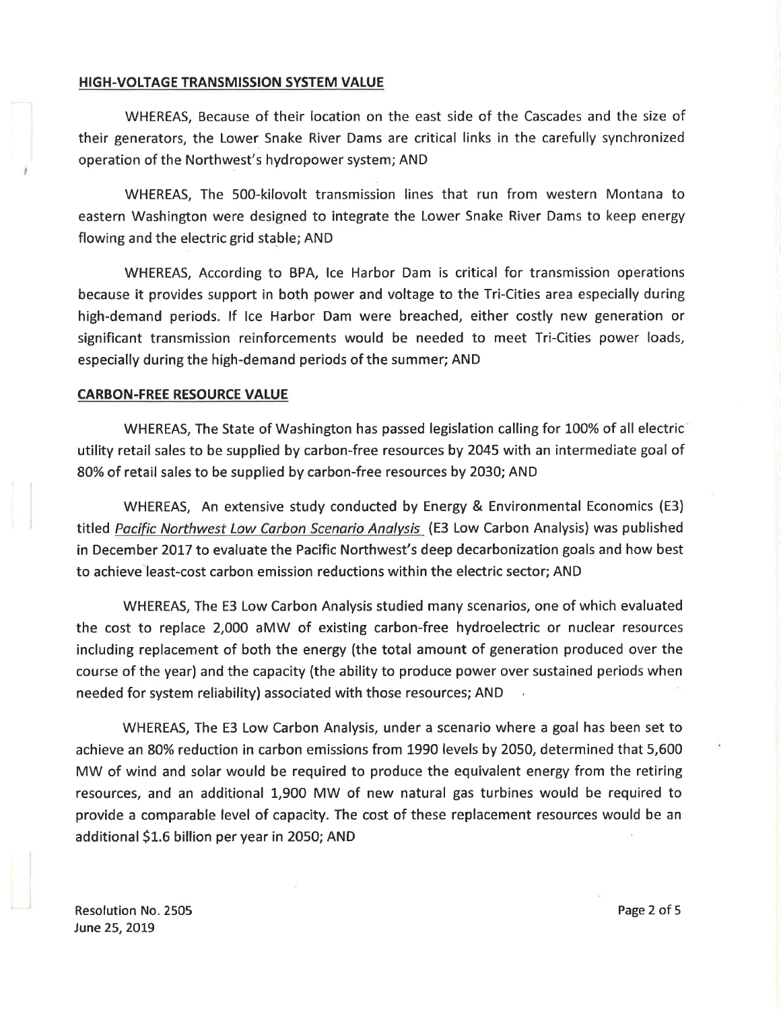### HIGH-VOLTAGE TRANSMISSION SYSTEM VALUE

WHEREAS, Because of their location on the east side of the Cascades and the size of their generators, the Lower Snake River Dams are critical links in the carefully synchronized operation of the Northwest's hydropower system; AND

WHEREAS, The S00-kilovolt transmission lines that run from western Montana to eastern Washington were designed to integrate the Lower Snake River Dams to keep energy flowing and the electric grid stable; AND

WHEREAS, According to BPA, lce Harbor Dam is critical for transmission operations because it provides support in both power and voltage to the Tri-Cíties area especially during high-demand periods. lf lce Harbor Dam were breached, either costly new generation or significant transmission reinforcements would be needed to meet Tri-Cities power loads, especially during the high-demand periods of the summer; AND

# CARBON.FREE RESOURCE VALUE

WHEREAS, The State of Washington has passed legislation calling for LOO% of all electric utility retail sales to be supplied by carbon-free resources by 2045 with an intermediate goal of 8O% of retail sales to be supplied by carbon-free resources by 2030; AND

WHEREAS, An extensive study conducted by Energy & Environmental Economics (E3) titled Pacific Northwest Low Carbon Scenario Analysis (E3 Low Carbon Analysis) was published in December 2OL7 to evaluate the Pacific Northwest's deep decarbonization goals and how best to achieve least-cost carbon emission reductions within the electric sector; AND

WHEREAS, The E3 Low Carbon Analysis studied many scenarios, one of which evaluated the cost to replace 2,000 aMW of existing carbon-free hydroelectric or nuclear resources including replacement of both the energy (the total amount of generation produced over the course of the year) and the capacity (the ability to produce power over sustained periods when needed for system reliability) associated with those resources; AND

WHEREAS, The E3 Low Carbon Analysis, under a scenario where a goal has been set to achieve an 80% reduction in carbon emissions from 1990 levels by 2050, determined that 5,600 MW of wind and solar would be required to produce the equivalent energy from the retiring resources, and an additional 1,900 MW of new natural gas turbines would be required to provide a comparable level of capacity. The cost of these replacement resources would be an additional \$1.6 billion per year in 2050; AND

Resolution No.2505 June 25, 2O19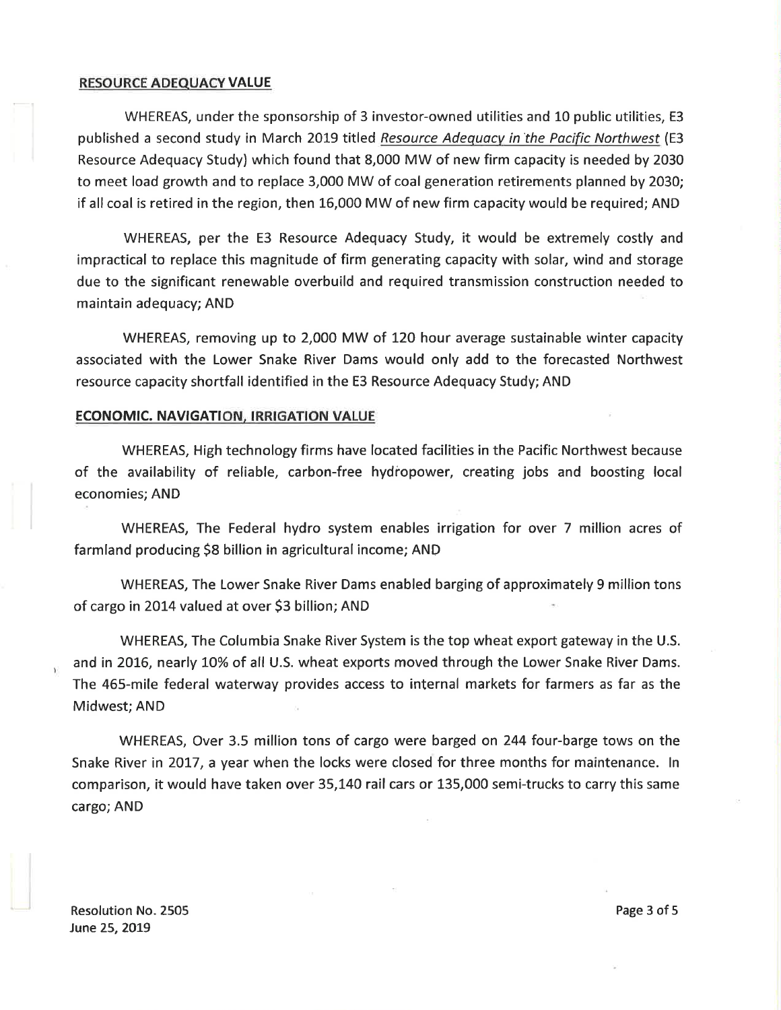## RESOURCE ADEQUACY VALUE

WHEREAS, under the sponsorship of 3 investor-owned utilities and 10 public utilities, E3 published a second study in March 2019 titled Resource Adequacy in the Pacific Northwest (E3 Resource Adequacy Study) which found that 8,000 MW of new firm capacity is needed by 2030 to meet load growth and to replace 3,000 MW of coal generation retirements planned by 2030; if all coal is retired in the region, then 16,000 MW of new firm capacity would be required; AND

WHEREAS, per the E3 Resource Adequacy Study, it would be extremely costly and impractícal to replace this magnitude of firm generating capacity with solar, wind and storage due to the significant renewable overbuild and required transmission construction needed to maintain adequacy; AND

WHEREAS, removing up to 2,000 MW of 120 hour average sustainable winter capacity associated with the Lower Snake River Dams would only add to the forecasted Northwest resource capacíty shortfall identified in the E3 Resource Adequacy Study; AND

# ECONOMIC. NAVIGATION. IRRIGATION VALUE

WHEREAS, High technology firms have located facilities in the Pacific Northwest because of the availability of reliable, carbon-free hydiopower, creatíng jobs and boosting local economies; AND

WHEREAS, The Federal hydro system enables irrigation for over 7 millíon acres of farmland producing \$8 billion in agricultural income; AND

WHEREAS, The Lower Snake River Dams enabled barging of approximately 9 million tons of cargo in 2014 valued at over \$3 billion; AND

WHEREAS, The Columbia Snake River System is the top wheat export gateway in the U.S. and in 2016, nearly 10% of all U.S. wheat exports moved through the Lower Snake River Dams. The 465-mile federal waterway provides access to internal markets for farmers as far as the Midwest; AND

WHEREAS, Over 3.5 million tons of cargo were barged on 244 four-barge tows on the Snake River in 2017, a year when the locks were closed for three months for maintenance. In comparison, it would have taken over 35,L40 rail cars or L35,000 semi-trucks to carry this same cargo; AND

Resolution No. 2505 June 25, 2O19

Page 3 of 5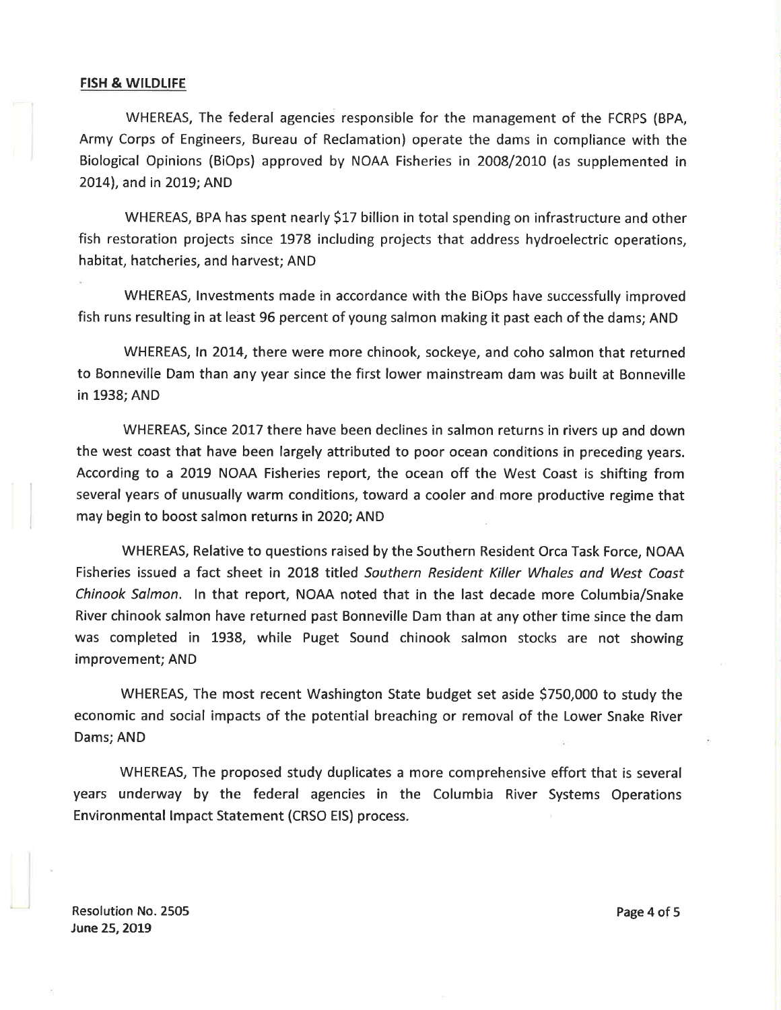## FISH & WILDLIFE

WHEREAS, The federal agencies responsible for the management of the FCRPS (BPA, Army Corps of Engineers, Bureau of Reclamation) operate the dams in compliance with the Biological Opinions (BiOps) approved by NOAA Fisheries in 20O8/2010 (as supplemented in 2014), and in 2019; AND

WHEREAS, BPA has spent nearly \$17 billion in total spending on infrastructure and other fish restoration projects since 1978 including projects that address hydroelectric operatíons, habitat, hatcheries, and harvest; AND

WHEREAS, lnvestments made in accordance with the BiOps have successfully improved fish runs resulting in at least 96 percent of young salmon making it past each of the dams; AND

WHEREAS, In 2014, there were more chinook, sockeye, and coho salmon that returned to Bonneville Dam than any year since the first lower mainstream dam was built at Bonneville in 1938; AND

WHEREAS, Since 2017 there have been declines in salmon returns in rivers up and down the west coast that have been largely attributed to poor ocean conditions in preceding years. According to a 20L9 NOAA Fisheries report, the ocean off the West Coast is shifting from several years of unusually warm conditions, toward a cooler and more productive regime that may begin to boost salmon returns in 2020; AND

WHEREAS, Relative to questions raised by the Southern Resident Orca Task Force, NOAA Fisheries issued a fact sheet in 2018 titled Soufhern Resident Killer Wholes and West Coast Chinook Salmon. ln that report, NOAA noted that in the last decade more Columbia/Snake River chinook salmon have returned past Bonneville Dam than at any other time since the dam was completed in 1938, while Puget Sound chinook salmon stocks are not showing improvement; AND

WHEREAS, The most recent Washington State budget set aside \$750,000 to study the economic and social impacts of the potential breaching or removal of the Lower Snake River Dams; AND

WHEREAS, The proposed study duplicates a more comprehensive effort that is several years underway by the federal agencies in the Columbia River Systems Operations Environmental lmpact Statement (CRSO EIS) process.

Resolution No.2505 June 25,2O19

Page 4 of 5